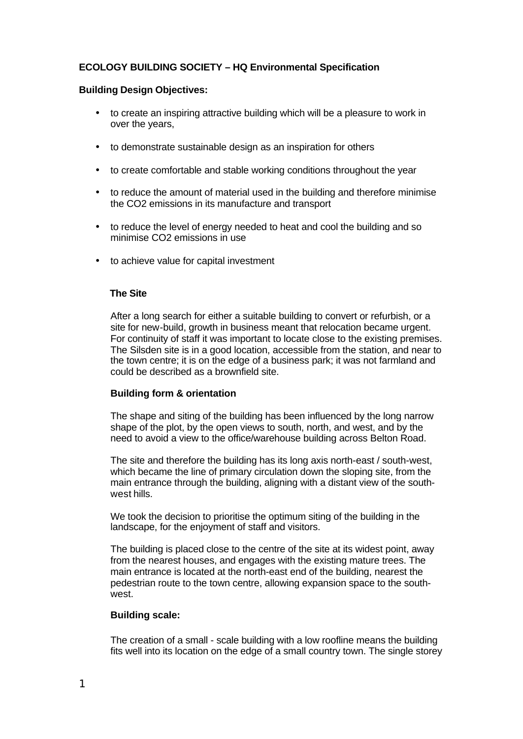# **ECOLOGY BUILDING SOCIETY – HQ Environmental Specification**

## **Building Design Objectives:**

- to create an inspiring attractive building which will be a pleasure to work in over the years,
- to demonstrate sustainable design as an inspiration for others
- to create comfortable and stable working conditions throughout the year
- to reduce the amount of material used in the building and therefore minimise the CO2 emissions in its manufacture and transport
- to reduce the level of energy needed to heat and cool the building and so minimise CO2 emissions in use
- to achieve value for capital investment

## **The Site**

After a long search for either a suitable building to convert or refurbish, or a site for new-build, growth in business meant that relocation became urgent. For continuity of staff it was important to locate close to the existing premises. The Silsden site is in a good location, accessible from the station, and near to the town centre; it is on the edge of a business park; it was not farmland and could be described as a brownfield site.

## **Building form & orientation**

The shape and siting of the building has been influenced by the long narrow shape of the plot, by the open views to south, north, and west, and by the need to avoid a view to the office/warehouse building across Belton Road.

The site and therefore the building has its long axis north-east / south-west, which became the line of primary circulation down the sloping site, from the main entrance through the building, aligning with a distant view of the southwest hills.

We took the decision to prioritise the optimum siting of the building in the landscape, for the enjoyment of staff and visitors.

The building is placed close to the centre of the site at its widest point, away from the nearest houses, and engages with the existing mature trees. The main entrance is located at the north-east end of the building, nearest the pedestrian route to the town centre, allowing expansion space to the southwest.

# **Building scale:**

The creation of a small - scale building with a low roofline means the building fits well into its location on the edge of a small country town. The single storey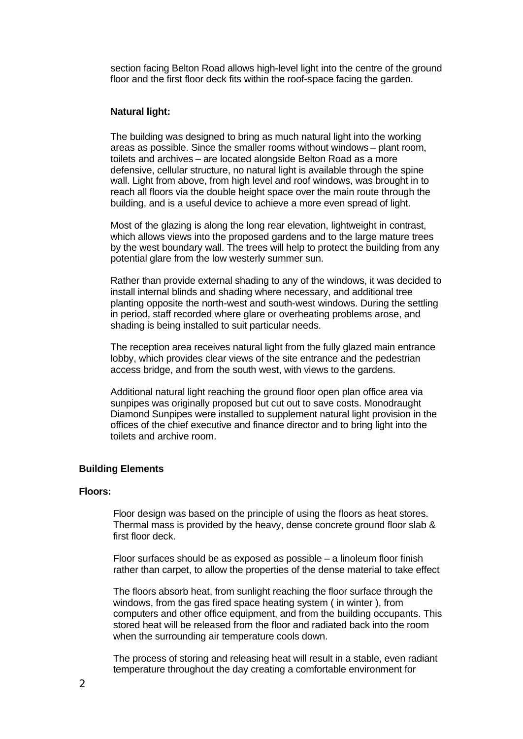section facing Belton Road allows high-level light into the centre of the ground floor and the first floor deck fits within the roof-space facing the garden.

## **Natural light:**

The building was designed to bring as much natural light into the working areas as possible. Since the smaller rooms without windows – plant room, toilets and archives – are located alongside Belton Road as a more defensive, cellular structure, no natural light is available through the spine wall. Light from above, from high level and roof windows, was brought in to reach all floors via the double height space over the main route through the building, and is a useful device to achieve a more even spread of light.

Most of the glazing is along the long rear elevation, lightweight in contrast, which allows views into the proposed gardens and to the large mature trees by the west boundary wall. The trees will help to protect the building from any potential glare from the low westerly summer sun.

Rather than provide external shading to any of the windows, it was decided to install internal blinds and shading where necessary, and additional tree planting opposite the north-west and south-west windows. During the settling in period, staff recorded where glare or overheating problems arose, and shading is being installed to suit particular needs.

The reception area receives natural light from the fully glazed main entrance lobby, which provides clear views of the site entrance and the pedestrian access bridge, and from the south west, with views to the gardens.

Additional natural light reaching the ground floor open plan office area via sunpipes was originally proposed but cut out to save costs. Monodraught Diamond Sunpipes were installed to supplement natural light provision in the offices of the chief executive and finance director and to bring light into the toilets and archive room.

## **Building Elements**

### **Floors:**

Floor design was based on the principle of using the floors as heat stores. Thermal mass is provided by the heavy, dense concrete ground floor slab & first floor deck.

Floor surfaces should be as exposed as possible – a linoleum floor finish rather than carpet, to allow the properties of the dense material to take effect

The floors absorb heat, from sunlight reaching the floor surface through the windows, from the gas fired space heating system ( in winter ), from computers and other office equipment, and from the building occupants. This stored heat will be released from the floor and radiated back into the room when the surrounding air temperature cools down.

The process of storing and releasing heat will result in a stable, even radiant temperature throughout the day creating a comfortable environment for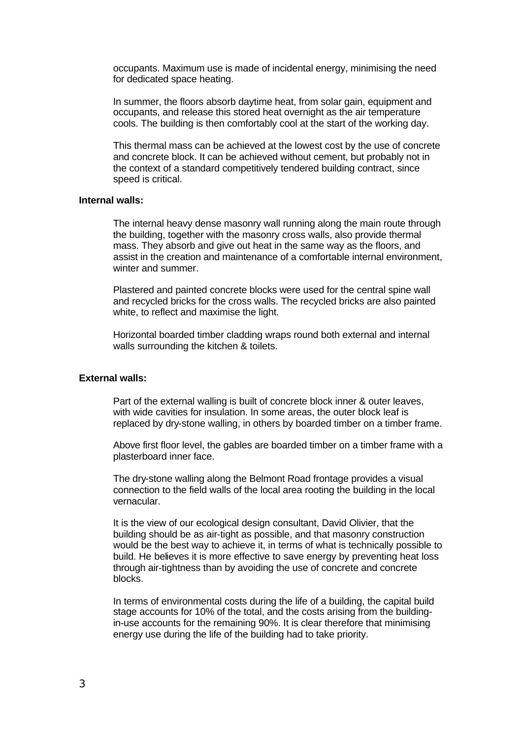occupants. Maximum use is made of incidental energy, minimising the need for dedicated space heating.

In summer, the floors absorb daytime heat, from solar gain, equipment and occupants, and release this stored heat overnight as the air temperature cools. The building is then comfortably cool at the start of the working day.

This thermal mass can be achieved at the lowest cost by the use of concrete and concrete block. It can be achieved without cement, but probably not in the context of a standard competitively tendered building contract, since speed is critical.

# **Internal walls:**

The internal heavy dense masonry wall running along the main route through the building, together with the masonry cross walls, also provide thermal mass. They absorb and give out heat in the same way as the floors, and assist in the creation and maintenance of a comfortable internal environment, winter and summer.

Plastered and painted concrete blocks were used for the central spine wall and recycled bricks for the cross walls. The recycled bricks are also painted white, to reflect and maximise the light.

Horizontal boarded timber cladding wraps round both external and internal walls surrounding the kitchen & toilets.

### **External walls:**

Part of the external walling is built of concrete block inner & outer leaves, with wide cavities for insulation. In some areas, the outer block leaf is replaced by dry-stone walling, in others by boarded timber on a timber frame.

Above first floor level, the gables are boarded timber on a timber frame with a plasterboard inner face.

The dry-stone walling along the Belmont Road frontage provides a visual connection to the field walls of the local area rooting the building in the local vernacular.

It is the view of our ecological design consultant, David Olivier, that the building should be as air-tight as possible, and that masonry construction would be the best way to achieve it, in terms of what is technically possible to build. He believes it is more effective to save energy by preventing heat loss through air-tightness than by avoiding the use of concrete and concrete blocks.

In terms of environmental costs during the life of a building, the capital build stage accounts for 10% of the total, and the costs arising from the buildingin-use accounts for the remaining 90%. It is clear therefore that minimising energy use during the life of the building had to take priority.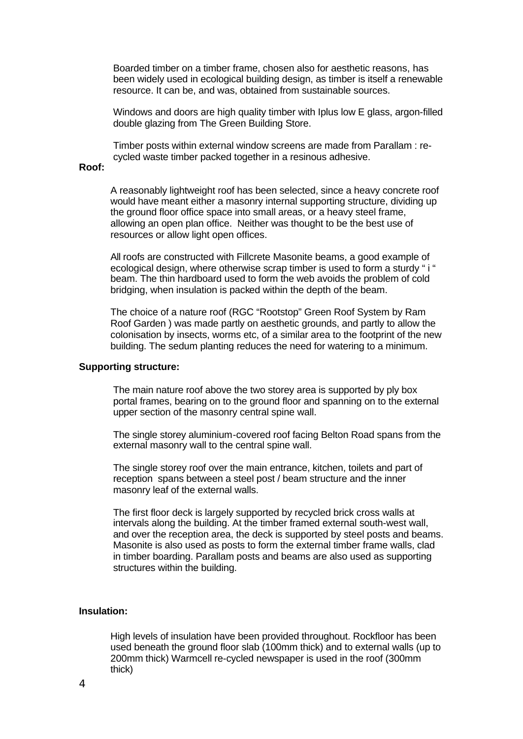Boarded timber on a timber frame, chosen also for aesthetic reasons, has been widely used in ecological building design, as timber is itself a renewable resource. It can be, and was, obtained from sustainable sources.

Windows and doors are high quality timber with Iplus low E glass, argon-filled double glazing from The Green Building Store.

Timber posts within external window screens are made from Parallam : recycled waste timber packed together in a resinous adhesive.

### **Roof:**

A reasonably lightweight roof has been selected, since a heavy concrete roof would have meant either a masonry internal supporting structure, dividing up the ground floor office space into small areas, or a heavy steel frame, allowing an open plan office. Neither was thought to be the best use of resources or allow light open offices.

All roofs are constructed with Fillcrete Masonite beams, a good example of ecological design, where otherwise scrap timber is used to form a sturdy " i " beam. The thin hardboard used to form the web avoids the problem of cold bridging, when insulation is packed within the depth of the beam.

The choice of a nature roof (RGC "Rootstop" Green Roof System by Ram Roof Garden ) was made partly on aesthetic grounds, and partly to allow the colonisation by insects, worms etc, of a similar area to the footprint of the new building. The sedum planting reduces the need for watering to a minimum.

#### **Supporting structure:**

The main nature roof above the two storey area is supported by ply box portal frames, bearing on to the ground floor and spanning on to the external upper section of the masonry central spine wall.

The single storey aluminium-covered roof facing Belton Road spans from the external masonry wall to the central spine wall.

The single storey roof over the main entrance, kitchen, toilets and part of reception spans between a steel post / beam structure and the inner masonry leaf of the external walls.

The first floor deck is largely supported by recycled brick cross walls at intervals along the building. At the timber framed external south-west wall, and over the reception area, the deck is supported by steel posts and beams. Masonite is also used as posts to form the external timber frame walls, clad in timber boarding. Parallam posts and beams are also used as supporting structures within the building.

## **Insulation:**

High levels of insulation have been provided throughout. Rockfloor has been used beneath the ground floor slab (100mm thick) and to external walls (up to 200mm thick) Warmcell re-cycled newspaper is used in the roof (300mm thick)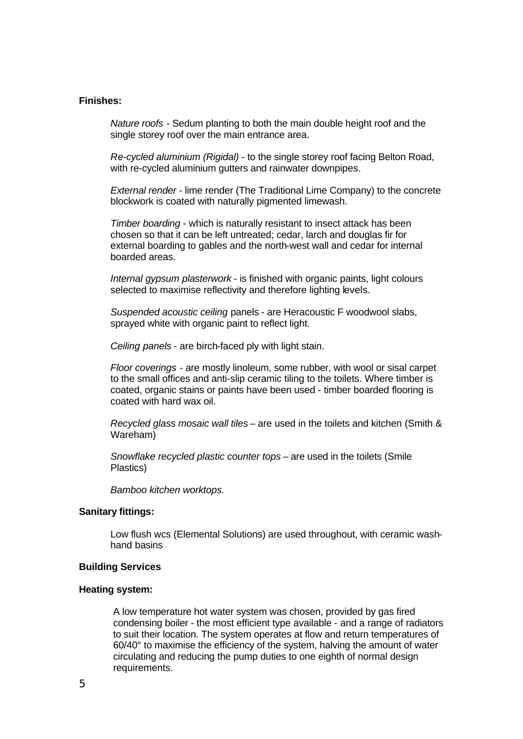### **Finishes:**

*Nature roofs* - Sedum planting to both the main double height roof and the single storey roof over the main entrance area.

*Re-cycled aluminium (Rigidal)* - to the single storey roof facing Belton Road, with re-cycled aluminium gutters and rainwater downpipes.

*External render -* lime render (The Traditional Lime Company) to the concrete blockwork is coated with naturally pigmented limewash.

*Timber boarding -* which is naturally resistant to insect attack has been chosen so that it can be left untreated; cedar, larch and douglas fir for external boarding to gables and the north-west wall and cedar for internal boarded areas.

*Internal gypsum plasterwork -* is finished with organic paints, light colours selected to maximise reflectivity and therefore lighting levels.

*Suspended acoustic ceiling* panels - are Heracoustic F woodwool slabs, sprayed white with organic paint to reflect light.

*Ceiling panels -* are birch-faced ply with light stain.

*Floor coverings* - are mostly linoleum, some rubber, with wool or sisal carpet to the small offices and anti-slip ceramic tiling to the toilets. Where timber is coated, organic stains or paints have been used - timber boarded flooring is coated with hard wax oil.

*Recycled glass mosaic wall tiles –* are used in the toilets and kitchen (Smith & Wareham)

*Snowflake recycled plastic counter tops –* are used in the toilets (Smile Plastics)

*Bamboo kitchen worktops.*

#### **Sanitary fittings:**

Low flush wcs (Elemental Solutions) are used throughout, with ceramic washhand basins

### **Building Services**

### **Heating system:**

A low temperature hot water system was chosen, provided by gas fired condensing boiler - the most efficient type available - and a range of radiators to suit their location. The system operates at flow and return temperatures of 60/40° to maximise the efficiency of the system, halving the amount of water circulating and reducing the pump duties to one eighth of normal design requirements.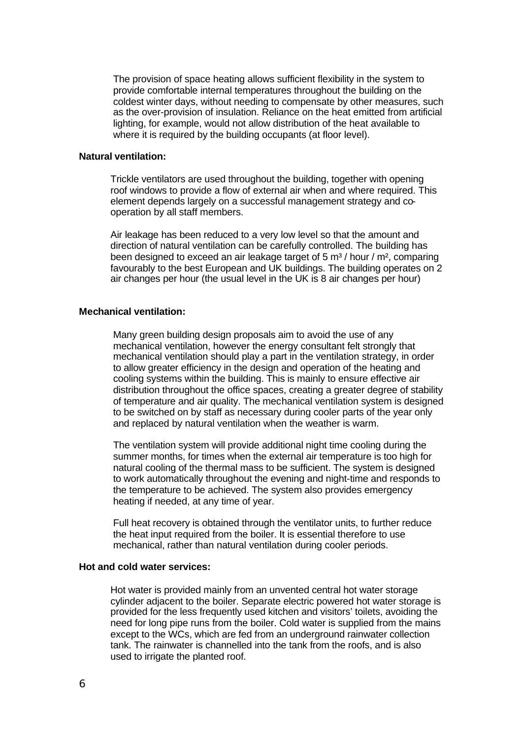The provision of space heating allows sufficient flexibility in the system to provide comfortable internal temperatures throughout the building on the coldest winter days, without needing to compensate by other measures, such as the over-provision of insulation. Reliance on the heat emitted from artificial lighting, for example, would not allow distribution of the heat available to where it is required by the building occupants (at floor level).

### **Natural ventilation:**

Trickle ventilators are used throughout the building, together with opening roof windows to provide a flow of external air when and where required. This element depends largely on a successful management strategy and cooperation by all staff members.

Air leakage has been reduced to a very low level so that the amount and direction of natural ventilation can be carefully controlled. The building has been designed to exceed an air leakage target of 5  $\text{m}^3$  / hour /  $\text{m}^2$ , comparing favourably to the best European and UK buildings. The building operates on 2 air changes per hour (the usual level in the UK is 8 air changes per hour)

## **Mechanical ventilation:**

Many green building design proposals aim to avoid the use of any mechanical ventilation, however the energy consultant felt strongly that mechanical ventilation should play a part in the ventilation strategy, in order to allow greater efficiency in the design and operation of the heating and cooling systems within the building. This is mainly to ensure effective air distribution throughout the office spaces, creating a greater degree of stability of temperature and air quality. The mechanical ventilation system is designed to be switched on by staff as necessary during cooler parts of the year only and replaced by natural ventilation when the weather is warm.

The ventilation system will provide additional night time cooling during the summer months, for times when the external air temperature is too high for natural cooling of the thermal mass to be sufficient. The system is designed to work automatically throughout the evening and night-time and responds to the temperature to be achieved. The system also provides emergency heating if needed, at any time of year.

Full heat recovery is obtained through the ventilator units, to further reduce the heat input required from the boiler. It is essential therefore to use mechanical, rather than natural ventilation during cooler periods.

### **Hot and cold water services:**

Hot water is provided mainly from an unvented central hot water storage cylinder adjacent to the boiler. Separate electric powered hot water storage is provided for the less frequently used kitchen and visitors' toilets, avoiding the need for long pipe runs from the boiler. Cold water is supplied from the mains except to the WCs, which are fed from an underground rainwater collection tank. The rainwater is channelled into the tank from the roofs, and is also used to irrigate the planted roof.